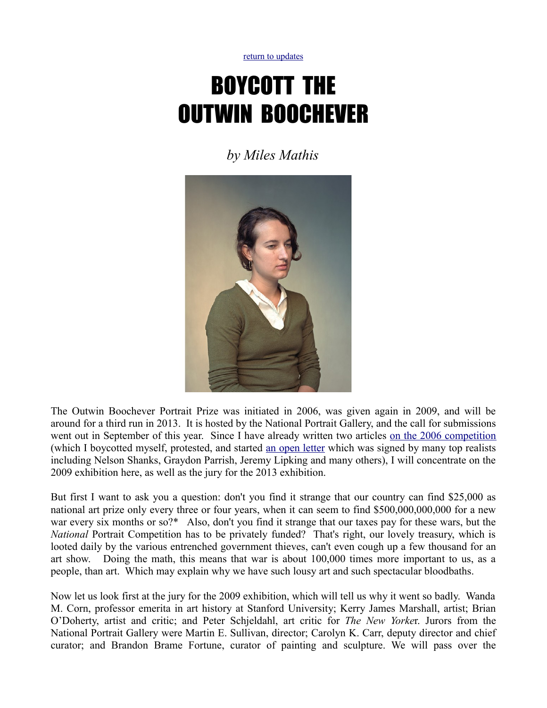[return to updates](http://mileswmathis.com/updates.html)

## BOYCOTT THE OUTWIN BOOCHEVER

*by Miles Mathis*



The Outwin Boochever Portrait Prize was initiated in 2006, was given again in 2009, and will be around for a third run in 2013. It is hosted by the National Portrait Gallery, and the call for submissions went out in September of this year. Since I have already written two articles [on the 2006 competition](http://mileswmathis.com/ng.html) (which I boycotted myself, protested, and started [an open letter](http://mileswmathis.com/we.html) which was signed by many top realists including Nelson Shanks, Graydon Parrish, Jeremy Lipking and many others), I will concentrate on the 2009 exhibition here, as well as the jury for the 2013 exhibition.

But first I want to ask you a question: don't you find it strange that our country can find \$25,000 as national art prize only every three or four years, when it can seem to find \$500,000,000,000 for a new war every six months or so?\* Also, don't you find it strange that our taxes pay for these wars, but the *National* Portrait Competition has to be privately funded? That's right, our lovely treasury, which is looted daily by the various entrenched government thieves, can't even cough up a few thousand for an art show. Doing the math, this means that war is about 100,000 times more important to us, as a people, than art. Which may explain why we have such lousy art and such spectacular bloodbaths.

Now let us look first at the jury for the 2009 exhibition, which will tell us why it went so badly. Wanda M. Corn, professor emerita in art history at Stanford University; Kerry James Marshall, artist; Brian O'Doherty, artist and critic; and Peter Schjeldahl, art critic for *The New Yorke*r. Jurors from the National Portrait Gallery were Martin E. Sullivan, director; Carolyn K. Carr, deputy director and chief curator; and Brandon Brame Fortune, curator of painting and sculpture. We will pass over the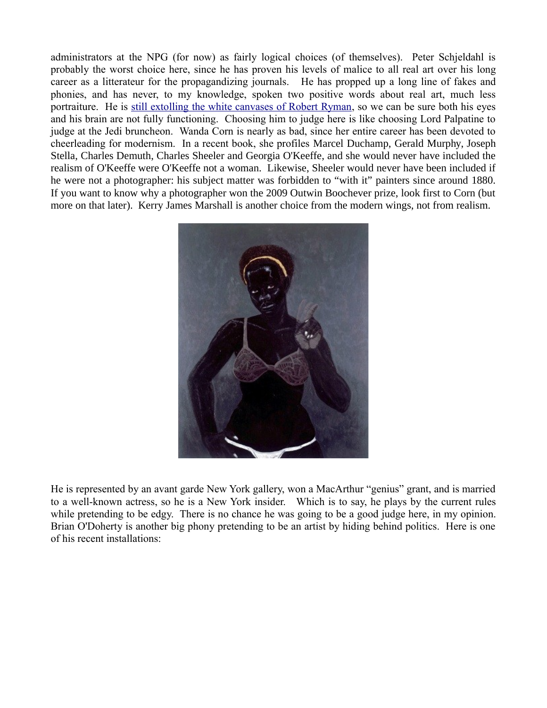administrators at the NPG (for now) as fairly logical choices (of themselves). Peter Schjeldahl is probably the worst choice here, since he has proven his levels of malice to all real art over his long career as a litterateur for the propagandizing journals. He has propped up a long line of fakes and phonies, and has never, to my knowledge, spoken two positive words about real art, much less portraiture. He is [still extolling the white canvases of Robert Ryman,](http://mileswmathis.com/schjeld.html) so we can be sure both his eyes and his brain are not fully functioning. Choosing him to judge here is like choosing Lord Palpatine to judge at the Jedi bruncheon. Wanda Corn is nearly as bad, since her entire career has been devoted to cheerleading for modernism. In a recent book, she profiles Marcel Duchamp, Gerald Murphy, Joseph Stella, Charles Demuth, Charles Sheeler and Georgia O'Keeffe, and she would never have included the realism of O'Keeffe were O'Keeffe not a woman. Likewise, Sheeler would never have been included if he were not a photographer: his subject matter was forbidden to "with it" painters since around 1880. If you want to know why a photographer won the 2009 Outwin Boochever prize, look first to Corn (but more on that later). Kerry James Marshall is another choice from the modern wings, not from realism.



He is represented by an avant garde New York gallery, won a MacArthur "genius" grant, and is married to a well-known actress, so he is a New York insider. Which is to say, he plays by the current rules while pretending to be edgy. There is no chance he was going to be a good judge here, in my opinion. Brian O'Doherty is another big phony pretending to be an artist by hiding behind politics. Here is one of his recent installations: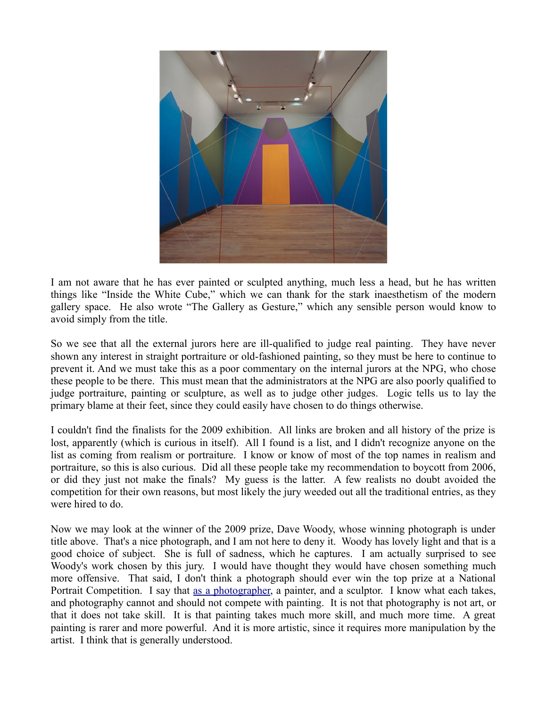

I am not aware that he has ever painted or sculpted anything, much less a head, but he has written things like "Inside the White Cube," which we can thank for the stark inaesthetism of the modern gallery space. He also wrote "The Gallery as Gesture," which any sensible person would know to avoid simply from the title.

So we see that all the external jurors here are ill-qualified to judge real painting. They have never shown any interest in straight portraiture or old-fashioned painting, so they must be here to continue to prevent it. And we must take this as a poor commentary on the internal jurors at the NPG, who chose these people to be there. This must mean that the administrators at the NPG are also poorly qualified to judge portraiture, painting or sculpture, as well as to judge other judges. Logic tells us to lay the primary blame at their feet, since they could easily have chosen to do things otherwise.

I couldn't find the finalists for the 2009 exhibition. All links are broken and all history of the prize is lost, apparently (which is curious in itself). All I found is a list, and I didn't recognize anyone on the list as coming from realism or portraiture. I know or know of most of the top names in realism and portraiture, so this is also curious. Did all these people take my recommendation to boycott from 2006, or did they just not make the finals? My guess is the latter. A few realists no doubt avoided the competition for their own reasons, but most likely the jury weeded out all the traditional entries, as they were hired to do.

Now we may look at the winner of the 2009 prize, Dave Woody, whose winning photograph is under title above. That's a nice photograph, and I am not here to deny it. Woody has lovely light and that is a good choice of subject. She is full of sadness, which he captures. I am actually surprised to see Woody's work chosen by this jury. I would have thought they would have chosen something much more offensive. That said, I don't think a photograph should ever win the top prize at a National Portrait Competition. I say that [as a photographer,](http://mileswmathis.com/thumbs3.html) a painter, and a sculptor. I know what each takes, and photography cannot and should not compete with painting. It is not that photography is not art, or that it does not take skill. It is that painting takes much more skill, and much more time. A great painting is rarer and more powerful. And it is more artistic, since it requires more manipulation by the artist. I think that is generally understood.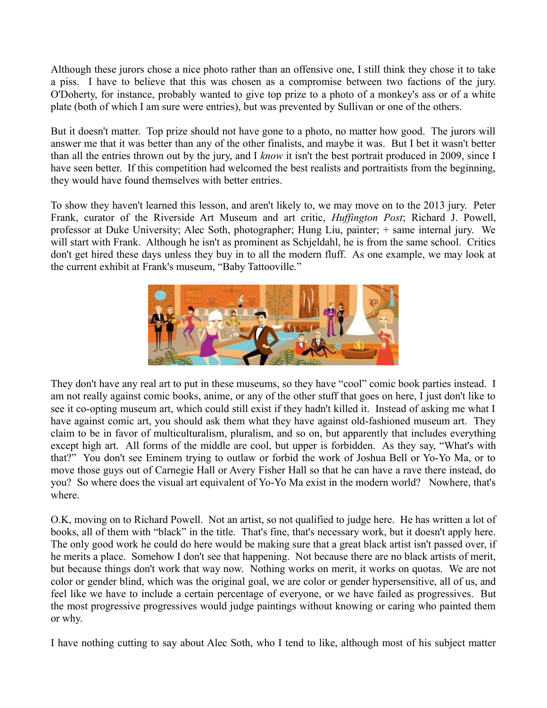Although these jurors chose a nice photo rather than an offensive one, I still think they chose it to take a piss. I have to believe that this was chosen as a compromise between two factions of the jury. O'Doherty, for instance, probably wanted to give top prize to a photo of a monkey's ass or of a white plate (both of which I am sure were entries), but was prevented by Sullivan or one of the others.

But it doesn't matter. Top prize should not have gone to a photo, no matter how good. The jurors will answer me that it was better than any of the other finalists, and maybe it was. But I bet it wasn't better than all the entries thrown out by the jury, and I *know* it isn't the best portrait produced in 2009, since I have seen better. If this competition had welcomed the best realists and portraitists from the beginning, they would have found themselves with better entries.

To show they haven't learned this lesson, and aren't likely to, we may move on to the 2013 jury. Peter Frank, curator of the Riverside Art Museum and art critic, *Huffington Post*; Richard J. Powell, professor at Duke University; Alec Soth, photographer; Hung Liu, painter; + same internal jury. We will start with Frank. Although he isn't as prominent as Schieldahl, he is from the same school. Critics don't get hired these days unless they buy in to all the modern fluff. As one example, we may look at the current exhibit at Frank's museum, "Baby Tattooville."



They don't have any real art to put in these museums, so they have "cool" comic book parties instead. I am not really against comic books, anime, or any of the other stuff that goes on here, I just don't like to see it co-opting museum art, which could still exist if they hadn't killed it. Instead of asking me what I have against comic art, you should ask them what they have against old-fashioned museum art. They claim to be in favor of multiculturalism, pluralism, and so on, but apparently that includes everything except high art. All forms of the middle are cool, but upper is forbidden. As they say, "What's with that?" You don't see Eminem trying to outlaw or forbid the work of Joshua Bell or Yo-Yo Ma, or to move those guys out of Carnegie Hall or Avery Fisher Hall so that he can have a rave there instead, do you? So where does the visual art equivalent of Yo-Yo Ma exist in the modern world? Nowhere, that's where.

O.K, moving on to Richard Powell. Not an artist, so not qualified to judge here. He has written a lot of books, all of them with "black" in the title. That's fine, that's necessary work, but it doesn't apply here. The only good work he could do here would be making sure that a great black artist isn't passed over, if he merits a place. Somehow I don't see that happening. Not because there are no black artists of merit, but because things don't work that way now. Nothing works on merit, it works on quotas. We are not color or gender blind, which was the original goal, we are color or gender hypersensitive, all of us, and feel like we have to include a certain percentage of everyone, or we have failed as progressives. But the most progressive progressives would judge paintings without knowing or caring who painted them or why.

I have nothing cutting to say about Alec Soth, who I tend to like, although most of his subject matter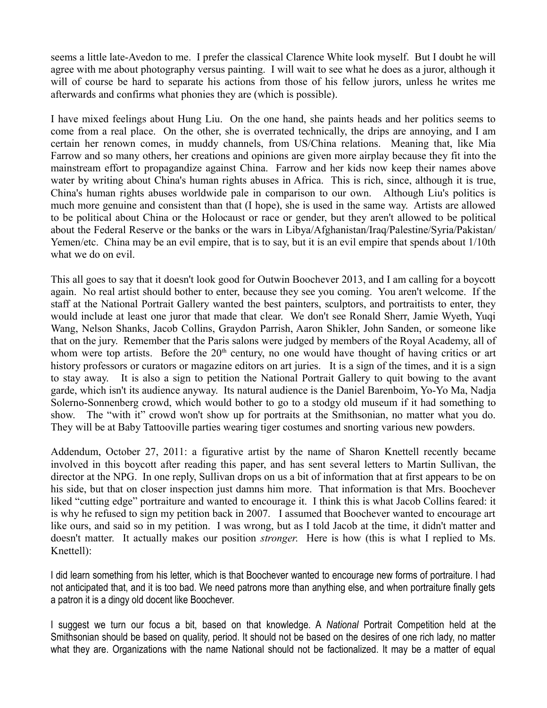seems a little late-Avedon to me. I prefer the classical Clarence White look myself. But I doubt he will agree with me about photography versus painting. I will wait to see what he does as a juror, although it will of course be hard to separate his actions from those of his fellow jurors, unless he writes me afterwards and confirms what phonies they are (which is possible).

I have mixed feelings about Hung Liu. On the one hand, she paints heads and her politics seems to come from a real place. On the other, she is overrated technically, the drips are annoying, and I am certain her renown comes, in muddy channels, from US/China relations. Meaning that, like Mia Farrow and so many others, her creations and opinions are given more airplay because they fit into the mainstream effort to propagandize against China. Farrow and her kids now keep their names above water by writing about China's human rights abuses in Africa. This is rich, since, although it is true, China's human rights abuses worldwide pale in comparison to our own. Although Liu's politics is much more genuine and consistent than that (I hope), she is used in the same way. Artists are allowed to be political about China or the Holocaust or race or gender, but they aren't allowed to be political about the Federal Reserve or the banks or the wars in Libya/Afghanistan/Iraq/Palestine/Syria/Pakistan/ Yemen/etc. China may be an evil empire, that is to say, but it is an evil empire that spends about 1/10th what we do on evil.

This all goes to say that it doesn't look good for Outwin Boochever 2013, and I am calling for a boycott again. No real artist should bother to enter, because they see you coming. You aren't welcome. If the staff at the National Portrait Gallery wanted the best painters, sculptors, and portraitists to enter, they would include at least one juror that made that clear. We don't see Ronald Sherr, Jamie Wyeth, Yuqi Wang, Nelson Shanks, Jacob Collins, Graydon Parrish, Aaron Shikler, John Sanden, or someone like that on the jury. Remember that the Paris salons were judged by members of the Royal Academy, all of whom were top artists. Before the 20<sup>th</sup> century, no one would have thought of having critics or art history professors or curators or magazine editors on art juries. It is a sign of the times, and it is a sign to stay away. It is also a sign to petition the National Portrait Gallery to quit bowing to the avant garde, which isn't its audience anyway. Its natural audience is the Daniel Barenboim, Yo-Yo Ma, Nadja Solerno-Sonnenberg crowd, which would bother to go to a stodgy old museum if it had something to show. The "with it" crowd won't show up for portraits at the Smithsonian, no matter what you do. They will be at Baby Tattooville parties wearing tiger costumes and snorting various new powders.

Addendum, October 27, 2011: a figurative artist by the name of Sharon Knettell recently became involved in this boycott after reading this paper, and has sent several letters to Martin Sullivan, the director at the NPG. In one reply, Sullivan drops on us a bit of information that at first appears to be on his side, but that on closer inspection just damns him more. That information is that Mrs. Boochever liked "cutting edge" portraiture and wanted to encourage it. I think this is what Jacob Collins feared: it is why he refused to sign my petition back in 2007. I assumed that Boochever wanted to encourage art like ours, and said so in my petition. I was wrong, but as I told Jacob at the time, it didn't matter and doesn't matter. It actually makes our position *stronger*. Here is how (this is what I replied to Ms. Knettell):

I did learn something from his letter, which is that Boochever wanted to encourage new forms of portraiture. I had not anticipated that, and it is too bad. We need patrons more than anything else, and when portraiture finally gets a patron it is a dingy old docent like Boochever.

I suggest we turn our focus a bit, based on that knowledge. A *National* Portrait Competition held at the Smithsonian should be based on quality, period. It should not be based on the desires of one rich lady, no matter what they are. Organizations with the name National should not be factionalized. It may be a matter of equal